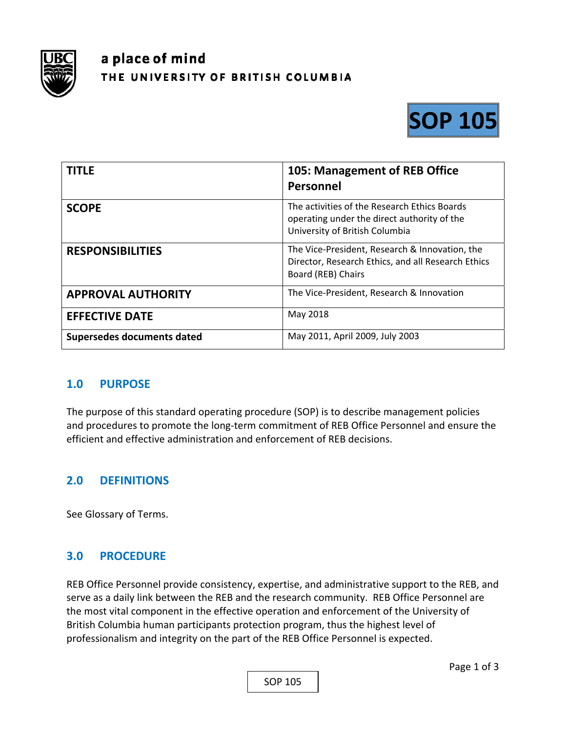

# a place of mind THE UNIVERSITY OF BRITISH COLUMBIA



| <b>TITLE</b>               | 105: Management of REB Office<br>Personnel                                                                                    |
|----------------------------|-------------------------------------------------------------------------------------------------------------------------------|
| <b>SCOPE</b>               | The activities of the Research Ethics Boards<br>operating under the direct authority of the<br>University of British Columbia |
| <b>RESPONSIBILITIES</b>    | The Vice-President, Research & Innovation, the<br>Director, Research Ethics, and all Research Ethics<br>Board (REB) Chairs    |
| <b>APPROVAL AUTHORITY</b>  | The Vice-President, Research & Innovation                                                                                     |
| <b>EFFECTIVE DATE</b>      | May 2018                                                                                                                      |
| Supersedes documents dated | May 2011, April 2009, July 2003                                                                                               |

# **1.0 PURPOSE**

The purpose of this standard operating procedure (SOP) is to describe management policies and procedures to promote the long-term commitment of REB Office Personnel and ensure the efficient and effective administration and enforcement of REB decisions.

# **2.0 DEFINITIONS**

See Glossary of Terms.

# **3.0 PROCEDURE**

REB Office Personnel provide consistency, expertise, and administrative support to the REB, and serve as a daily link between the REB and the research community. REB Office Personnel are the most vital component in the effective operation and enforcement of the University of British Columbia human participants protection program, thus the highest level of professionalism and integrity on the part of the REB Office Personnel is expected.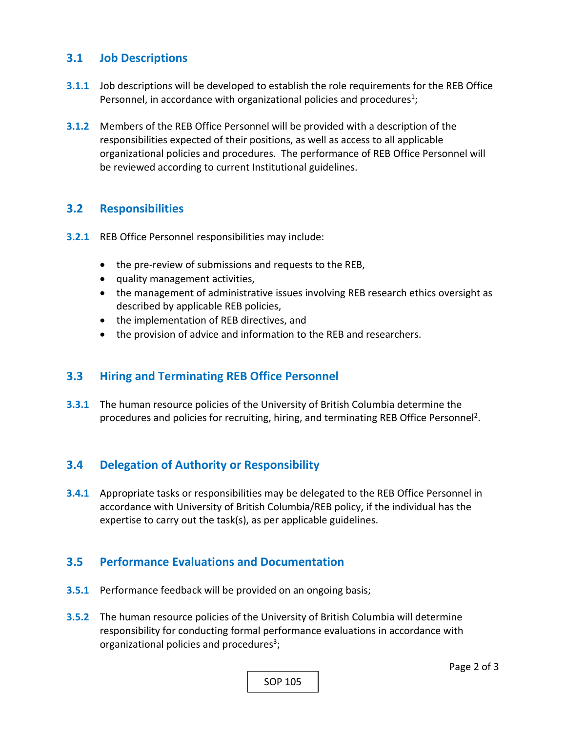## **3.1 Job Descriptions**

- **3.1.1** Job descriptions will be developed to establish the role requirements for the REB Office Personnel, in accordance with organizational policies and procedures<sup>1</sup>;
- **3.1.2** Members of the REB Office Personnel will be provided with a description of the responsibilities expected of their positions, as well as access to all applicable organizational policies and procedures. The performance of REB Office Personnel will be reviewed according to current Institutional guidelines.

#### **3.2 Responsibilities**

- **3.2.1**  REB Office Personnel responsibilities may include:
	- the pre-review of submissions and requests to the REB,
	- quality management activities,
	- the management of administrative issues involving REB research ethics oversight as described by applicable REB policies,
	- the implementation of REB directives, and
	- the provision of advice and information to the REB and researchers.

# **3.3 Hiring and Terminating REB Office Personnel**

**3.3.1** The human resource policies of the University of British Columbia determine the procedures and policies for recruiting, hiring, and terminating REB Office Personnel2.

#### **3.4 Delegation of Authority or Responsibility**

**3.4.1** Appropriate tasks or responsibilities may be delegated to the REB Office Personnel in accordance with University of British Columbia/REB policy, if the individual has the expertise to carry out the task(s), as per applicable guidelines.

#### **3.5 Performance Evaluations and Documentation**

- **3.5.1** Performance feedback will be provided on an ongoing basis;
- **3.5.2** The human resource policies of the University of British Columbia will determine responsibility for conducting formal performance evaluations in accordance with organizational policies and procedures<sup>3</sup>;